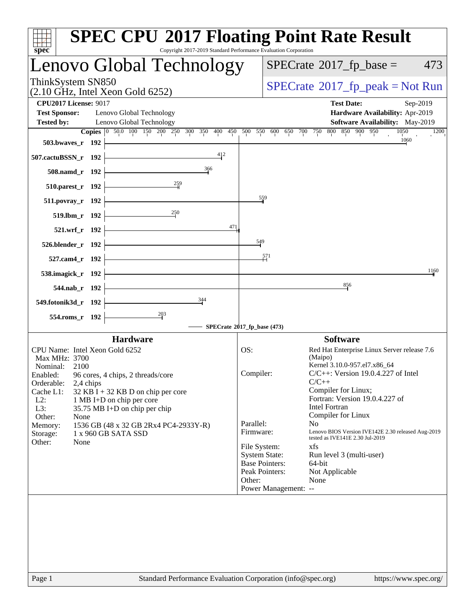| spec <sup>®</sup>                                                                                          |                                                            | <b>SPEC CPU®2017 Floating Point Rate Result</b><br>Copyright 2017-2019 Standard Performance Evaluation Corporation |                                        |                                                                 |                                                                                                            |                                                                         |          |
|------------------------------------------------------------------------------------------------------------|------------------------------------------------------------|--------------------------------------------------------------------------------------------------------------------|----------------------------------------|-----------------------------------------------------------------|------------------------------------------------------------------------------------------------------------|-------------------------------------------------------------------------|----------|
|                                                                                                            |                                                            | Lenovo Global Technology                                                                                           |                                        |                                                                 | $SPECrate^{\circ}2017$ _fp_base =                                                                          |                                                                         | 473      |
| ThinkSystem SN850<br>$(2.10 \text{ GHz}, \text{Intel Xeon Gold } 6252)$                                    |                                                            |                                                                                                                    |                                        |                                                                 | $SPECrate^{\circ}2017$ [p_peak = Not Run                                                                   |                                                                         |          |
| <b>CPU2017 License: 9017</b><br><b>Test Sponsor:</b>                                                       | Lenovo Global Technology                                   |                                                                                                                    |                                        |                                                                 | <b>Test Date:</b>                                                                                          | Hardware Availability: Apr-2019                                         | Sep-2019 |
| <b>Tested by:</b>                                                                                          | Lenovo Global Technology                                   | Copies 0 50.0 100 150 200 250 300 350 400 450                                                                      |                                        | 500 550 600 650 700 750                                         | 800 850 900 950                                                                                            | Software Availability: May-2019<br>1050                                 | 1200     |
| 503.bwaves_r 192                                                                                           |                                                            |                                                                                                                    |                                        |                                                                 |                                                                                                            | 1060                                                                    |          |
| 507.cactuBSSN_r 192                                                                                        |                                                            | 412                                                                                                                |                                        |                                                                 |                                                                                                            |                                                                         |          |
| 508.namd_r 192                                                                                             |                                                            | 366                                                                                                                |                                        |                                                                 |                                                                                                            |                                                                         |          |
| 510.parest_r 192                                                                                           |                                                            |                                                                                                                    |                                        |                                                                 |                                                                                                            |                                                                         |          |
| 511.povray_r 192                                                                                           |                                                            |                                                                                                                    |                                        | 559                                                             |                                                                                                            |                                                                         |          |
| 519.1bm_r 192                                                                                              |                                                            | $\frac{250}{1}$                                                                                                    |                                        |                                                                 |                                                                                                            |                                                                         |          |
| 521.wrf_r 192                                                                                              |                                                            |                                                                                                                    | 471                                    |                                                                 |                                                                                                            |                                                                         |          |
| 526.blender_r 192                                                                                          |                                                            |                                                                                                                    | 549                                    |                                                                 |                                                                                                            |                                                                         |          |
| 527.cam4_r 192                                                                                             |                                                            |                                                                                                                    |                                        | 571                                                             |                                                                                                            |                                                                         |          |
| 538.imagick_r 192                                                                                          |                                                            |                                                                                                                    |                                        |                                                                 |                                                                                                            |                                                                         | 1160     |
| 544.nab_r 192                                                                                              |                                                            | <u> 1980 - Johann Barbara, martxa a</u>                                                                            |                                        |                                                                 | 856                                                                                                        |                                                                         |          |
| 549.fotonik3d_r 192                                                                                        |                                                            | 344                                                                                                                |                                        |                                                                 |                                                                                                            |                                                                         |          |
| 554.roms_r 192                                                                                             |                                                            |                                                                                                                    |                                        |                                                                 |                                                                                                            |                                                                         |          |
|                                                                                                            | <b>Hardware</b>                                            |                                                                                                                    | SPECrate®2017_fp_base (473)            |                                                                 | <b>Software</b>                                                                                            |                                                                         |          |
| CPU Name: Intel Xeon Gold 6252                                                                             |                                                            |                                                                                                                    | OS:                                    |                                                                 |                                                                                                            | Red Hat Enterprise Linux Server release 7.6                             |          |
| Max MHz: 3700<br>Nominal:<br>2100<br>Enabled: 96 cores, 4 chips, 2 threads/core<br>Orderable:<br>Cache L1: | 2,4 chips<br>$32$ KB I + 32 KB D on chip per core          |                                                                                                                    | Compiler:                              |                                                                 | (Maipo)<br>Kernel 3.10.0-957.el7.x86_64<br>$C/C++$<br>Compiler for Linux;                                  | $C/C++$ : Version 19.0.4.227 of Intel<br>Fortran: Version 19.0.4.227 of |          |
| $L2$ :<br>L3:                                                                                              | 1 MB I+D on chip per core<br>35.75 MB I+D on chip per chip |                                                                                                                    |                                        |                                                                 | <b>Intel Fortran</b>                                                                                       |                                                                         |          |
| Other:<br>None<br>Memory:<br>Storage:<br>Other:<br>None                                                    | 1 x 960 GB SATA SSD                                        | 1536 GB (48 x 32 GB 2Rx4 PC4-2933Y-R)                                                                              | Parallel:<br>Firmware:<br>File System: | <b>System State:</b>                                            | Compiler for Linux<br>N <sub>o</sub><br>tested as IVE141E 2.30 Jul-2019<br>xfs<br>Run level 3 (multi-user) | Lenovo BIOS Version IVE142E 2.30 released Aug-2019                      |          |
|                                                                                                            |                                                            |                                                                                                                    | Other:                                 | <b>Base Pointers:</b><br>Peak Pointers:<br>Power Management: -- | 64-bit<br>Not Applicable<br>None                                                                           |                                                                         |          |
| Page 1                                                                                                     |                                                            | Standard Performance Evaluation Corporation (info@spec.org)                                                        |                                        |                                                                 |                                                                                                            | https://www.spec.org/                                                   |          |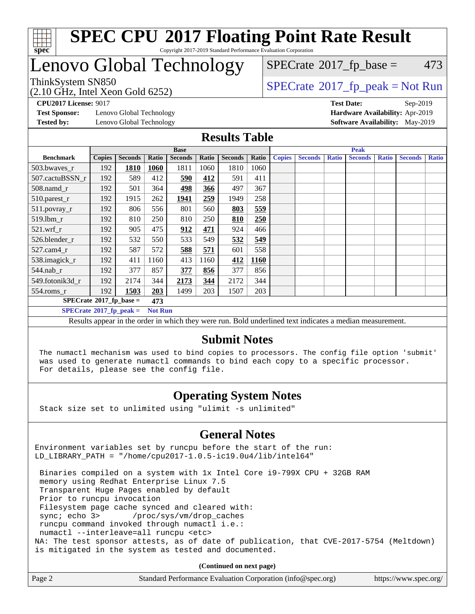

#### **[SPEC CPU](http://www.spec.org/auto/cpu2017/Docs/result-fields.html#SPECCPU2017FloatingPointRateResult)[2017 Floating Point Rate Result](http://www.spec.org/auto/cpu2017/Docs/result-fields.html#SPECCPU2017FloatingPointRateResult)** Copyright 2017-2019 Standard Performance Evaluation Corporation

## Lenovo Global Technology

 $SPECrate@2017_fp_peak = Not Run$  $SPECrate@2017_fp_peak = Not Run$  $SPECrate@2017_fp_peak = Not Run$  $SPECrate@2017_fp_peak = Not Run$  $SPECTate$ <sup>®</sup>[2017\\_fp\\_base =](http://www.spec.org/auto/cpu2017/Docs/result-fields.html#SPECrate2017fpbase) 473

(2.10 GHz, Intel Xeon Gold 6252)

**[CPU2017 License:](http://www.spec.org/auto/cpu2017/Docs/result-fields.html#CPU2017License)** 9017 **[Test Date:](http://www.spec.org/auto/cpu2017/Docs/result-fields.html#TestDate)** Sep-2019 **[Test Sponsor:](http://www.spec.org/auto/cpu2017/Docs/result-fields.html#TestSponsor)** Lenovo Global Technology **[Hardware Availability:](http://www.spec.org/auto/cpu2017/Docs/result-fields.html#HardwareAvailability)** Apr-2019

**[Tested by:](http://www.spec.org/auto/cpu2017/Docs/result-fields.html#Testedby)** Lenovo Global Technology **[Software Availability:](http://www.spec.org/auto/cpu2017/Docs/result-fields.html#SoftwareAvailability)** May-2019

### **[Results Table](http://www.spec.org/auto/cpu2017/Docs/result-fields.html#ResultsTable)**

|                                   |               |                |                | <b>Base</b>    |       |                |             | <b>Peak</b>   |                |              |                |              |                |              |
|-----------------------------------|---------------|----------------|----------------|----------------|-------|----------------|-------------|---------------|----------------|--------------|----------------|--------------|----------------|--------------|
| <b>Benchmark</b>                  | <b>Copies</b> | <b>Seconds</b> | Ratio          | <b>Seconds</b> | Ratio | <b>Seconds</b> | Ratio       | <b>Copies</b> | <b>Seconds</b> | <b>Ratio</b> | <b>Seconds</b> | <b>Ratio</b> | <b>Seconds</b> | <b>Ratio</b> |
| 503.bwayes r                      | 192           | 1810           | 1060           | 1811           | 1060  | 1810           | 1060        |               |                |              |                |              |                |              |
| 507.cactuBSSN r                   | 192           | 589            | 412            | 590            | 412   | 591            | 411         |               |                |              |                |              |                |              |
| $508$ .namd $r$                   | 192           | 501            | 364            | 498            | 366   | 497            | 367         |               |                |              |                |              |                |              |
| 510.parest_r                      | 192           | 1915           | 262            | 1941           | 259   | 1949           | 258         |               |                |              |                |              |                |              |
| 511.povray_r                      | 192           | 806            | 556            | 801            | 560   | 803            | 559         |               |                |              |                |              |                |              |
| 519.lbm r                         | 192           | 810            | 250            | 810            | 250   | 810            | 250         |               |                |              |                |              |                |              |
| $521$ .wrf r                      | 192           | 905            | 475            | 912            | 471   | 924            | 466         |               |                |              |                |              |                |              |
| 526.blender r                     | 192           | 532            | 550            | 533            | 549   | 532            | 549         |               |                |              |                |              |                |              |
| $527$ .cam $4r$                   | 192           | 587            | 572            | 588            | 571   | 601            | 558         |               |                |              |                |              |                |              |
| 538.imagick_r                     | 192           | 411            | 1160           | 413            | 1160  | 412            | <b>1160</b> |               |                |              |                |              |                |              |
| $544$ .nab r                      | 192           | 377            | 857            | 377            | 856   | 377            | 856         |               |                |              |                |              |                |              |
| 549.fotonik3d r                   | 192           | 2174           | 344            | 2173           | 344   | 2172           | 344         |               |                |              |                |              |                |              |
| $554$ .roms $r$                   | 192           | 1503           | 203            | 1499           | 203   | 1507           | 203         |               |                |              |                |              |                |              |
| $SPECrate*2017_fp\_base =$<br>473 |               |                |                |                |       |                |             |               |                |              |                |              |                |              |
| $SPECrate^{\circ}2017$ fp peak =  |               |                | <b>Not Run</b> |                |       |                |             |               |                |              |                |              |                |              |

Results appear in the [order in which they were run](http://www.spec.org/auto/cpu2017/Docs/result-fields.html#RunOrder). Bold underlined text [indicates a median measurement.](http://www.spec.org/auto/cpu2017/Docs/result-fields.html#Median)

### **[Submit Notes](http://www.spec.org/auto/cpu2017/Docs/result-fields.html#SubmitNotes)**

 The numactl mechanism was used to bind copies to processors. The config file option 'submit' was used to generate numactl commands to bind each copy to a specific processor. For details, please see the config file.

### **[Operating System Notes](http://www.spec.org/auto/cpu2017/Docs/result-fields.html#OperatingSystemNotes)**

Stack size set to unlimited using "ulimit -s unlimited"

### **[General Notes](http://www.spec.org/auto/cpu2017/Docs/result-fields.html#GeneralNotes)**

Environment variables set by runcpu before the start of the run: LD\_LIBRARY\_PATH = "/home/cpu2017-1.0.5-ic19.0u4/lib/intel64"

 Binaries compiled on a system with 1x Intel Core i9-799X CPU + 32GB RAM memory using Redhat Enterprise Linux 7.5 Transparent Huge Pages enabled by default Prior to runcpu invocation Filesystem page cache synced and cleared with: sync; echo 3> /proc/sys/vm/drop\_caches runcpu command invoked through numactl i.e.: numactl --interleave=all runcpu <etc> NA: The test sponsor attests, as of date of publication, that CVE-2017-5754 (Meltdown) is mitigated in the system as tested and documented.

**(Continued on next page)**

| Page 2 | Standard Performance Evaluation Corporation (info@spec.org) | https://www.spec.org/ |
|--------|-------------------------------------------------------------|-----------------------|
|--------|-------------------------------------------------------------|-----------------------|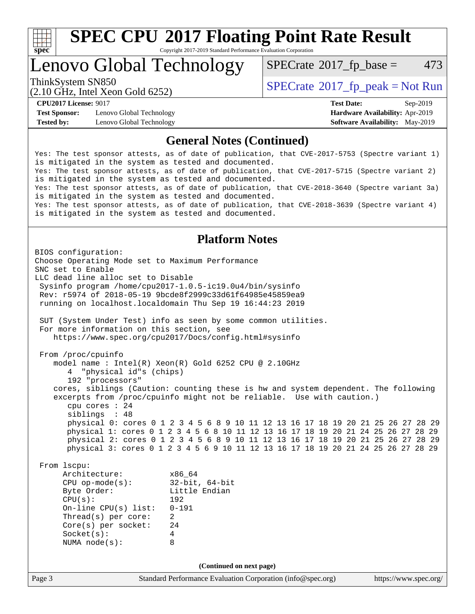

Copyright 2017-2019 Standard Performance Evaluation Corporation

Lenovo Global Technology

 $SPECTate$ <sup>®</sup>[2017\\_fp\\_base =](http://www.spec.org/auto/cpu2017/Docs/result-fields.html#SPECrate2017fpbase) 473

(2.10 GHz, Intel Xeon Gold 6252)

ThinkSystem SN850<br>  $SPECTA = Not Run$ <br>  $SPECTA = Not Run$ 

**[Test Sponsor:](http://www.spec.org/auto/cpu2017/Docs/result-fields.html#TestSponsor)** Lenovo Global Technology **[Hardware Availability:](http://www.spec.org/auto/cpu2017/Docs/result-fields.html#HardwareAvailability)** Apr-2019 **[Tested by:](http://www.spec.org/auto/cpu2017/Docs/result-fields.html#Testedby)** Lenovo Global Technology **[Software Availability:](http://www.spec.org/auto/cpu2017/Docs/result-fields.html#SoftwareAvailability)** May-2019

**[CPU2017 License:](http://www.spec.org/auto/cpu2017/Docs/result-fields.html#CPU2017License)** 9017 **[Test Date:](http://www.spec.org/auto/cpu2017/Docs/result-fields.html#TestDate)** Sep-2019

### **[General Notes \(Continued\)](http://www.spec.org/auto/cpu2017/Docs/result-fields.html#GeneralNotes)**

Yes: The test sponsor attests, as of date of publication, that CVE-2017-5753 (Spectre variant 1) is mitigated in the system as tested and documented. Yes: The test sponsor attests, as of date of publication, that CVE-2017-5715 (Spectre variant 2) is mitigated in the system as tested and documented. Yes: The test sponsor attests, as of date of publication, that CVE-2018-3640 (Spectre variant 3a) is mitigated in the system as tested and documented. Yes: The test sponsor attests, as of date of publication, that CVE-2018-3639 (Spectre variant 4) is mitigated in the system as tested and documented.

### **[Platform Notes](http://www.spec.org/auto/cpu2017/Docs/result-fields.html#PlatformNotes)**

Page 3 Standard Performance Evaluation Corporation [\(info@spec.org\)](mailto:info@spec.org) <https://www.spec.org/> BIOS configuration: Choose Operating Mode set to Maximum Performance SNC set to Enable LLC dead line alloc set to Disable Sysinfo program /home/cpu2017-1.0.5-ic19.0u4/bin/sysinfo Rev: r5974 of 2018-05-19 9bcde8f2999c33d61f64985e45859ea9 running on localhost.localdomain Thu Sep 19 16:44:23 2019 SUT (System Under Test) info as seen by some common utilities. For more information on this section, see <https://www.spec.org/cpu2017/Docs/config.html#sysinfo> From /proc/cpuinfo model name : Intel(R) Xeon(R) Gold 6252 CPU @ 2.10GHz 4 "physical id"s (chips) 192 "processors" cores, siblings (Caution: counting these is hw and system dependent. The following excerpts from /proc/cpuinfo might not be reliable. Use with caution.) cpu cores : 24 siblings : 48 physical 0: cores 0 1 2 3 4 5 6 8 9 10 11 12 13 16 17 18 19 20 21 25 26 27 28 29 physical 1: cores 0 1 2 3 4 5 6 8 10 11 12 13 16 17 18 19 20 21 24 25 26 27 28 29 physical 2: cores 0 1 2 3 4 5 6 8 9 10 11 12 13 16 17 18 19 20 21 25 26 27 28 29 physical 3: cores 0 1 2 3 4 5 6 9 10 11 12 13 16 17 18 19 20 21 24 25 26 27 28 29 From lscpu: Architecture: x86\_64 CPU op-mode(s): 32-bit, 64-bit Byte Order: Little Endian CPU(s): 192 On-line CPU(s) list: 0-191 Thread(s) per core: 2 Core(s) per socket: 24 Socket(s): 4 NUMA node(s): 8 **(Continued on next page)**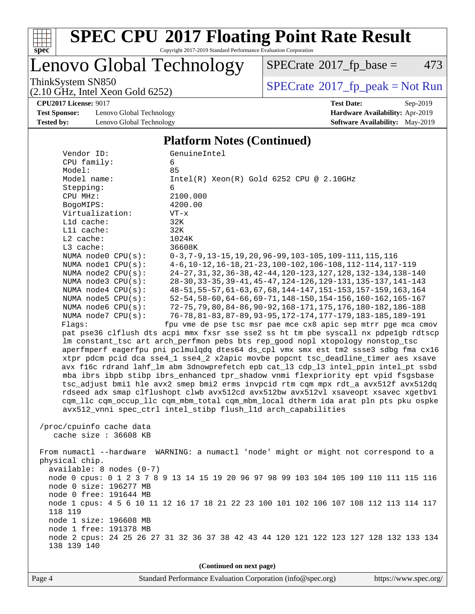

Copyright 2017-2019 Standard Performance Evaluation Corporation

### Lenovo Global Technology

 $SPECTate@2017_fp\_base = 473$ 

ThinkSystem SN850<br>
(2.10 GHz, Intel Xeon Gold 6252)<br> [SPECrate](http://www.spec.org/auto/cpu2017/Docs/result-fields.html#SPECrate2017fppeak)®[2017\\_fp\\_peak = N](http://www.spec.org/auto/cpu2017/Docs/result-fields.html#SPECrate2017fppeak)ot Run

**[CPU2017 License:](http://www.spec.org/auto/cpu2017/Docs/result-fields.html#CPU2017License)** 9017 **[Test Date:](http://www.spec.org/auto/cpu2017/Docs/result-fields.html#TestDate)** Sep-2019

**[Test Sponsor:](http://www.spec.org/auto/cpu2017/Docs/result-fields.html#TestSponsor)** Lenovo Global Technology **[Hardware Availability:](http://www.spec.org/auto/cpu2017/Docs/result-fields.html#HardwareAvailability)** Apr-2019 **[Tested by:](http://www.spec.org/auto/cpu2017/Docs/result-fields.html#Testedby)** Lenovo Global Technology **[Software Availability:](http://www.spec.org/auto/cpu2017/Docs/result-fields.html#SoftwareAvailability)** May-2019

(2.10 GHz, Intel Xeon Gold 6252)

#### **[Platform Notes \(Continued\)](http://www.spec.org/auto/cpu2017/Docs/result-fields.html#PlatformNotes)**

| Vendor ID:                 | GenuineIntel                                                                          |
|----------------------------|---------------------------------------------------------------------------------------|
| CPU family:                | 6                                                                                     |
| Model:                     | 85                                                                                    |
| Model name:                | $Intel(R) Xeon(R) Gold 6252 CPU @ 2.10GHz$                                            |
| Stepping:                  | 6                                                                                     |
| CPU MHz:                   | 2100.000                                                                              |
| BogoMIPS:                  | 4200.00                                                                               |
| Virtualization:            | $VT - x$                                                                              |
| L1d cache:                 | 32K                                                                                   |
| Lli cache:                 | 32K                                                                                   |
| $L2$ cache:                | 1024K                                                                                 |
| L3 cache:                  | 36608K                                                                                |
| NUMA node0 CPU(s):         | $0-3, 7-9, 13-15, 19, 20, 96-99, 103-105, 109-111, 115, 116$                          |
| NUMA nodel CPU(s):         | 4-6, 10-12, 16-18, 21-23, 100-102, 106-108, 112-114, 117-119                          |
| NUMA node2 CPU(s):         | 24-27, 31, 32, 36-38, 42-44, 120-123, 127, 128, 132-134, 138-140                      |
| NUMA $node3$ $CPU(s)$ :    | 28-30, 33-35, 39-41, 45-47, 124-126, 129-131, 135-137, 141-143                        |
| NUMA $node4$ $CPU(s)$ :    | 48-51, 55-57, 61-63, 67, 68, 144-147, 151-153, 157-159, 163, 164                      |
| NUMA node5 CPU(s):         | 52-54, 58-60, 64-66, 69-71, 148-150, 154-156, 160-162, 165-167                        |
| NUMA node6 CPU(s):         | 72-75, 79, 80, 84-86, 90-92, 168-171, 175, 176, 180-182, 186-188                      |
| NUMA node7 CPU(s):         | 76-78, 81-83, 87-89, 93-95, 172-174, 177-179, 183-185, 189-191                        |
|                            |                                                                                       |
| Flaqs:                     | fpu vme de pse tsc msr pae mce cx8 apic sep mtrr pge mca cmov                         |
|                            | pat pse36 clflush dts acpi mmx fxsr sse sse2 ss ht tm pbe syscall nx pdpelgb rdtscp   |
|                            | lm constant_tsc art arch_perfmon pebs bts rep_good nopl xtopology nonstop_tsc         |
|                            | aperfmperf eagerfpu pni pclmulqdq dtes64 ds_cpl vmx smx est tm2 ssse3 sdbg fma cx16   |
|                            | xtpr pdcm pcid dca sse4_1 sse4_2 x2apic movbe popcnt tsc_deadline_timer aes xsave     |
|                            | avx f16c rdrand lahf_lm abm 3dnowprefetch epb cat_13 cdp_13 intel_ppin intel_pt ssbd  |
|                            | mba ibrs ibpb stibp ibrs_enhanced tpr_shadow vnmi flexpriority ept vpid fsgsbase      |
|                            | tsc_adjust bmil hle avx2 smep bmi2 erms invpcid rtm cqm mpx rdt_a avx512f avx512dq    |
|                            | rdseed adx smap clflushopt clwb avx512cd avx512bw avx512vl xsaveopt xsavec xgetbvl    |
|                            | cqm_llc cqm_occup_llc cqm_mbm_total cqm_mbm_local dtherm ida arat pln pts pku ospke   |
|                            | avx512_vnni spec_ctrl intel_stibp flush_lld arch_capabilities                         |
|                            |                                                                                       |
| /proc/cpuinfo cache data   |                                                                                       |
| cache size $: 36608$ KB    |                                                                                       |
|                            |                                                                                       |
|                            | From numactl --hardware WARNING: a numactl 'node' might or might not correspond to a  |
| physical chip.             |                                                                                       |
| $available: 8 nodes (0-7)$ |                                                                                       |
|                            | node 0 cpus: 0 1 2 3 7 8 9 13 14 15 19 20 96 97 98 99 103 104 105 109 110 111 115 116 |
| node 0 size: 196277 MB     |                                                                                       |
| node 0 free: 191644 MB     |                                                                                       |
|                            |                                                                                       |
|                            |                                                                                       |
|                            | node 1 cpus: 4 5 6 10 11 12 16 17 18 21 22 23 100 101 102 106 107 108 112 113 114 117 |
| 118 119                    |                                                                                       |
| node 1 size: 196608 MB     |                                                                                       |
| node 1 free: 191378 MB     |                                                                                       |
| 138 139 140                | node 2 cpus: 24 25 26 27 31 32 36 37 38 42 43 44 120 121 122 123 127 128 132 133 134  |

**(Continued on next page)**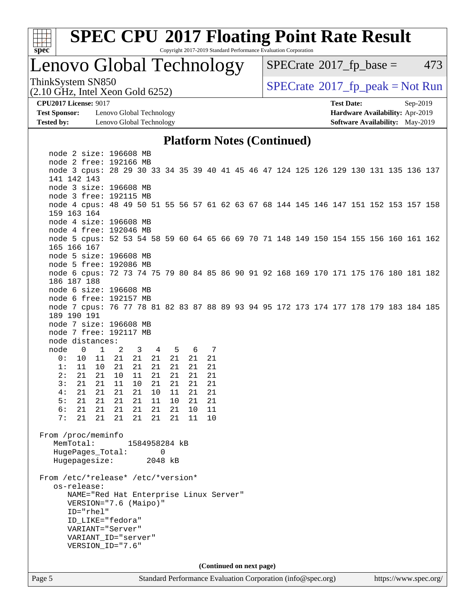

Copyright 2017-2019 Standard Performance Evaluation Corporation

Lenovo Global Technology

 $SPECTate@2017_fp\_base = 473$ 

(2.10 GHz, Intel Xeon Gold 6252)

ThinkSystem SN850<br>(2.10 GHz, Intel Xeon Gold 6252) [SPECrate](http://www.spec.org/auto/cpu2017/Docs/result-fields.html#SPECrate2017fppeak)®[2017\\_fp\\_peak = N](http://www.spec.org/auto/cpu2017/Docs/result-fields.html#SPECrate2017fppeak)ot Run

**[Test Sponsor:](http://www.spec.org/auto/cpu2017/Docs/result-fields.html#TestSponsor)** Lenovo Global Technology **[Hardware Availability:](http://www.spec.org/auto/cpu2017/Docs/result-fields.html#HardwareAvailability)** Apr-2019 **[Tested by:](http://www.spec.org/auto/cpu2017/Docs/result-fields.html#Testedby)** Lenovo Global Technology **[Software Availability:](http://www.spec.org/auto/cpu2017/Docs/result-fields.html#SoftwareAvailability)** May-2019

**[CPU2017 License:](http://www.spec.org/auto/cpu2017/Docs/result-fields.html#CPU2017License)** 9017 **[Test Date:](http://www.spec.org/auto/cpu2017/Docs/result-fields.html#TestDate)** Sep-2019

#### **[Platform Notes \(Continued\)](http://www.spec.org/auto/cpu2017/Docs/result-fields.html#PlatformNotes)**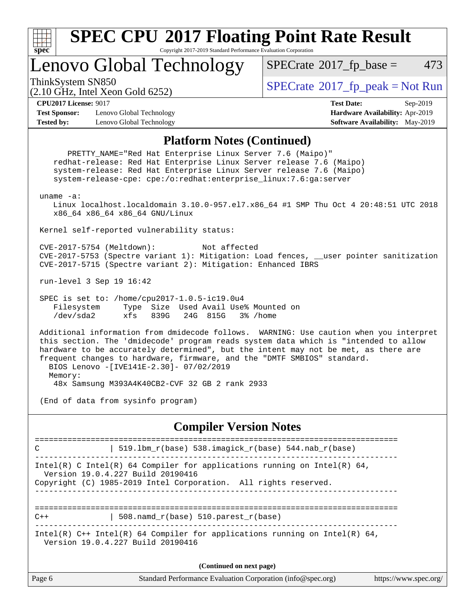

Copyright 2017-2019 Standard Performance Evaluation Corporation

Lenovo Global Technology

 $SPECTate$ <sup>®</sup>[2017\\_fp\\_base =](http://www.spec.org/auto/cpu2017/Docs/result-fields.html#SPECrate2017fpbase) 473

(2.10 GHz, Intel Xeon Gold 6252)

ThinkSystem SN850<br>  $SPECTR_{10}$  [SPECrate](http://www.spec.org/auto/cpu2017/Docs/result-fields.html#SPECrate2017fppeak)®[2017\\_fp\\_peak = N](http://www.spec.org/auto/cpu2017/Docs/result-fields.html#SPECrate2017fppeak)ot Run

**[CPU2017 License:](http://www.spec.org/auto/cpu2017/Docs/result-fields.html#CPU2017License)** 9017 **[Test Date:](http://www.spec.org/auto/cpu2017/Docs/result-fields.html#TestDate)** Sep-2019

**[Test Sponsor:](http://www.spec.org/auto/cpu2017/Docs/result-fields.html#TestSponsor)** Lenovo Global Technology **[Hardware Availability:](http://www.spec.org/auto/cpu2017/Docs/result-fields.html#HardwareAvailability)** Apr-2019 **[Tested by:](http://www.spec.org/auto/cpu2017/Docs/result-fields.html#Testedby)** Lenovo Global Technology **[Software Availability:](http://www.spec.org/auto/cpu2017/Docs/result-fields.html#SoftwareAvailability)** May-2019

#### **[Platform Notes \(Continued\)](http://www.spec.org/auto/cpu2017/Docs/result-fields.html#PlatformNotes)**

Page 6 Standard Performance Evaluation Corporation [\(info@spec.org\)](mailto:info@spec.org) <https://www.spec.org/> PRETTY\_NAME="Red Hat Enterprise Linux Server 7.6 (Maipo)" redhat-release: Red Hat Enterprise Linux Server release 7.6 (Maipo) system-release: Red Hat Enterprise Linux Server release 7.6 (Maipo) system-release-cpe: cpe:/o:redhat:enterprise\_linux:7.6:ga:server uname -a: Linux localhost.localdomain 3.10.0-957.el7.x86\_64 #1 SMP Thu Oct 4 20:48:51 UTC 2018 x86\_64 x86\_64 x86\_64 GNU/Linux Kernel self-reported vulnerability status: CVE-2017-5754 (Meltdown): Not affected CVE-2017-5753 (Spectre variant 1): Mitigation: Load fences, \_\_user pointer sanitization CVE-2017-5715 (Spectre variant 2): Mitigation: Enhanced IBRS run-level 3 Sep 19 16:42 SPEC is set to: /home/cpu2017-1.0.5-ic19.0u4 Filesystem Type Size Used Avail Use% Mounted on /dev/sda2 xfs 839G 24G 815G 3% /home Additional information from dmidecode follows. WARNING: Use caution when you interpret this section. The 'dmidecode' program reads system data which is "intended to allow hardware to be accurately determined", but the intent may not be met, as there are frequent changes to hardware, firmware, and the "DMTF SMBIOS" standard. BIOS Lenovo -[IVE141E-2.30]- 07/02/2019 Memory: 48x Samsung M393A4K40CB2-CVF 32 GB 2 rank 2933 (End of data from sysinfo program) **[Compiler Version Notes](http://www.spec.org/auto/cpu2017/Docs/result-fields.html#CompilerVersionNotes)** ============================================================================== C | 519.lbm\_r(base) 538.imagick\_r(base) 544.nab\_r(base) ------------------------------------------------------------------------------ Intel(R) C Intel(R) 64 Compiler for applications running on Intel(R)  $64$ , Version 19.0.4.227 Build 20190416 Copyright (C) 1985-2019 Intel Corporation. All rights reserved. ------------------------------------------------------------------------------ ==============================================================================  $C++$  | 508.namd\_r(base) 510.parest\_r(base) ------------------------------------------------------------------------------ Intel(R)  $C++$  Intel(R) 64 Compiler for applications running on Intel(R) 64, Version 19.0.4.227 Build 20190416 **(Continued on next page)**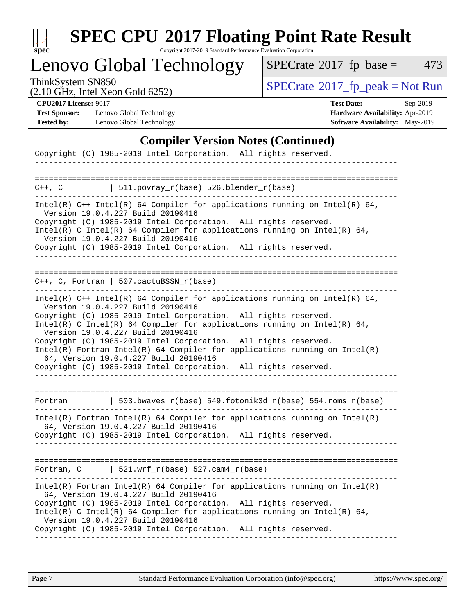

Copyright 2017-2019 Standard Performance Evaluation Corporation

## Lenovo Global Technology

 $SPECTate@2017_fp\_base = 473$ 

(2.10 GHz, Intel Xeon Gold 6252)

ThinkSystem SN850<br>
(2.10 GHz, Intel Xeon Gold 6252)<br> [SPECrate](http://www.spec.org/auto/cpu2017/Docs/result-fields.html#SPECrate2017fppeak)®[2017\\_fp\\_peak = N](http://www.spec.org/auto/cpu2017/Docs/result-fields.html#SPECrate2017fppeak)ot Run

**[Test Sponsor:](http://www.spec.org/auto/cpu2017/Docs/result-fields.html#TestSponsor)** Lenovo Global Technology **[Hardware Availability:](http://www.spec.org/auto/cpu2017/Docs/result-fields.html#HardwareAvailability)** Apr-2019 **[Tested by:](http://www.spec.org/auto/cpu2017/Docs/result-fields.html#Testedby)** Lenovo Global Technology **[Software Availability:](http://www.spec.org/auto/cpu2017/Docs/result-fields.html#SoftwareAvailability)** May-2019

**[CPU2017 License:](http://www.spec.org/auto/cpu2017/Docs/result-fields.html#CPU2017License)** 9017 **[Test Date:](http://www.spec.org/auto/cpu2017/Docs/result-fields.html#TestDate)** Sep-2019

### **[Compiler Version Notes \(Continued\)](http://www.spec.org/auto/cpu2017/Docs/result-fields.html#CompilerVersionNotes)**

| Copyright (C) 1985-2019 Intel Corporation. All rights reserved.                                                                                                                                                                                                                                                                                                                                                                                                                                                                                                                                                                                                                                                                                                                                                                            |
|--------------------------------------------------------------------------------------------------------------------------------------------------------------------------------------------------------------------------------------------------------------------------------------------------------------------------------------------------------------------------------------------------------------------------------------------------------------------------------------------------------------------------------------------------------------------------------------------------------------------------------------------------------------------------------------------------------------------------------------------------------------------------------------------------------------------------------------------|
|                                                                                                                                                                                                                                                                                                                                                                                                                                                                                                                                                                                                                                                                                                                                                                                                                                            |
| $511. povray_r(base) 526. blender_r(base)$<br>$C++$ , $C$                                                                                                                                                                                                                                                                                                                                                                                                                                                                                                                                                                                                                                                                                                                                                                                  |
| Intel(R) $C++$ Intel(R) 64 Compiler for applications running on Intel(R) 64,<br>Version 19.0.4.227 Build 20190416<br>Copyright (C) 1985-2019 Intel Corporation. All rights reserved.<br>Intel(R) C Intel(R) 64 Compiler for applications running on Intel(R) 64,<br>Version 19.0.4.227 Build 20190416<br>Copyright (C) 1985-2019 Intel Corporation. All rights reserved.                                                                                                                                                                                                                                                                                                                                                                                                                                                                   |
| $C_{++}$ , C, Fortran   507.cactuBSSN_r(base)                                                                                                                                                                                                                                                                                                                                                                                                                                                                                                                                                                                                                                                                                                                                                                                              |
| Intel(R) $C++$ Intel(R) 64 Compiler for applications running on Intel(R) 64,<br>Version 19.0.4.227 Build 20190416<br>Copyright (C) 1985-2019 Intel Corporation. All rights reserved.<br>Intel(R) C Intel(R) 64 Compiler for applications running on Intel(R) 64,<br>Version 19.0.4.227 Build 20190416<br>Copyright (C) 1985-2019 Intel Corporation. All rights reserved.<br>$Intel(R)$ Fortran Intel(R) 64 Compiler for applications running on Intel(R)<br>64, Version 19.0.4.227 Build 20190416<br>Copyright (C) 1985-2019 Intel Corporation. All rights reserved.<br>  503.bwaves_r(base) 549.fotonik3d_r(base) 554.roms_r(base)<br>Fortran<br>$Intel(R)$ Fortran Intel(R) 64 Compiler for applications running on Intel(R)<br>64, Version 19.0.4.227 Build 20190416<br>Copyright (C) 1985-2019 Intel Corporation. All rights reserved. |
|                                                                                                                                                                                                                                                                                                                                                                                                                                                                                                                                                                                                                                                                                                                                                                                                                                            |
|                                                                                                                                                                                                                                                                                                                                                                                                                                                                                                                                                                                                                                                                                                                                                                                                                                            |
| Fortran, $C$   521.wrf_r(base) 527.cam4_r(base)                                                                                                                                                                                                                                                                                                                                                                                                                                                                                                                                                                                                                                                                                                                                                                                            |
| Intel(R) Fortran Intel(R) 64 Compiler for applications running on Intel(R)<br>64, Version 19.0.4.227 Build 20190416<br>Copyright (C) 1985-2019 Intel Corporation. All rights reserved.<br>Intel(R) C Intel(R) 64 Compiler for applications running on Intel(R) 64,<br>Version 19.0.4.227 Build 20190416<br>Copyright (C) 1985-2019 Intel Corporation. All rights reserved.                                                                                                                                                                                                                                                                                                                                                                                                                                                                 |
|                                                                                                                                                                                                                                                                                                                                                                                                                                                                                                                                                                                                                                                                                                                                                                                                                                            |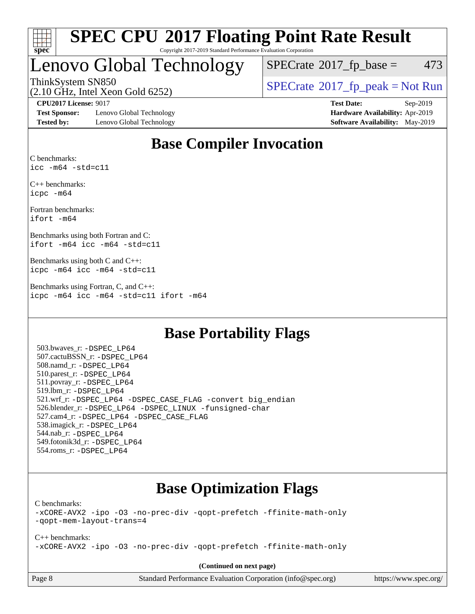

#### **[SPEC CPU](http://www.spec.org/auto/cpu2017/Docs/result-fields.html#SPECCPU2017FloatingPointRateResult)[2017 Floating Point Rate Result](http://www.spec.org/auto/cpu2017/Docs/result-fields.html#SPECCPU2017FloatingPointRateResult)** Copyright 2017-2019 Standard Performance Evaluation Corporation

### Lenovo Global Technology

 $SPECTate@2017<sub>fp</sub> base = 473$ 

(2.10 GHz, Intel Xeon Gold 6252)

ThinkSystem SN850<br>  $\begin{array}{c}\n\text{SPECrate} \textcircled{2017\_fp\_peak} = \text{Not Run} \\
\text{SPECrate} \textcircled{2017\_fp\_peak} = \text{Not Run} \\
\end{array}$  $\begin{array}{c}\n\text{SPECrate} \textcircled{2017\_fp\_peak} = \text{Not Run} \\
\text{SPECrate} \textcircled{2017\_fp\_peak} = \text{Not Run} \\
\end{array}$  $\begin{array}{c}\n\text{SPECrate} \textcircled{2017\_fp\_peak} = \text{Not Run} \\
\text{SPECrate} \textcircled{2017\_fp\_peak} = \text{Not Run} \\
\end{array}$ 

**[Test Sponsor:](http://www.spec.org/auto/cpu2017/Docs/result-fields.html#TestSponsor)** Lenovo Global Technology **[Hardware Availability:](http://www.spec.org/auto/cpu2017/Docs/result-fields.html#HardwareAvailability)** Apr-2019 **[Tested by:](http://www.spec.org/auto/cpu2017/Docs/result-fields.html#Testedby)** Lenovo Global Technology **[Software Availability:](http://www.spec.org/auto/cpu2017/Docs/result-fields.html#SoftwareAvailability)** May-2019

**[CPU2017 License:](http://www.spec.org/auto/cpu2017/Docs/result-fields.html#CPU2017License)** 9017 **[Test Date:](http://www.spec.org/auto/cpu2017/Docs/result-fields.html#TestDate)** Sep-2019

### **[Base Compiler Invocation](http://www.spec.org/auto/cpu2017/Docs/result-fields.html#BaseCompilerInvocation)**

[C benchmarks](http://www.spec.org/auto/cpu2017/Docs/result-fields.html#Cbenchmarks): [icc -m64 -std=c11](http://www.spec.org/cpu2017/results/res2019q4/cpu2017-20190926-18606.flags.html#user_CCbase_intel_icc_64bit_c11_33ee0cdaae7deeeab2a9725423ba97205ce30f63b9926c2519791662299b76a0318f32ddfffdc46587804de3178b4f9328c46fa7c2b0cd779d7a61945c91cd35)

[C++ benchmarks:](http://www.spec.org/auto/cpu2017/Docs/result-fields.html#CXXbenchmarks) [icpc -m64](http://www.spec.org/cpu2017/results/res2019q4/cpu2017-20190926-18606.flags.html#user_CXXbase_intel_icpc_64bit_4ecb2543ae3f1412ef961e0650ca070fec7b7afdcd6ed48761b84423119d1bf6bdf5cad15b44d48e7256388bc77273b966e5eb805aefd121eb22e9299b2ec9d9)

[Fortran benchmarks:](http://www.spec.org/auto/cpu2017/Docs/result-fields.html#Fortranbenchmarks) [ifort -m64](http://www.spec.org/cpu2017/results/res2019q4/cpu2017-20190926-18606.flags.html#user_FCbase_intel_ifort_64bit_24f2bb282fbaeffd6157abe4f878425411749daecae9a33200eee2bee2fe76f3b89351d69a8130dd5949958ce389cf37ff59a95e7a40d588e8d3a57e0c3fd751)

[Benchmarks using both Fortran and C](http://www.spec.org/auto/cpu2017/Docs/result-fields.html#BenchmarksusingbothFortranandC): [ifort -m64](http://www.spec.org/cpu2017/results/res2019q4/cpu2017-20190926-18606.flags.html#user_CC_FCbase_intel_ifort_64bit_24f2bb282fbaeffd6157abe4f878425411749daecae9a33200eee2bee2fe76f3b89351d69a8130dd5949958ce389cf37ff59a95e7a40d588e8d3a57e0c3fd751) [icc -m64 -std=c11](http://www.spec.org/cpu2017/results/res2019q4/cpu2017-20190926-18606.flags.html#user_CC_FCbase_intel_icc_64bit_c11_33ee0cdaae7deeeab2a9725423ba97205ce30f63b9926c2519791662299b76a0318f32ddfffdc46587804de3178b4f9328c46fa7c2b0cd779d7a61945c91cd35)

[Benchmarks using both C and C++:](http://www.spec.org/auto/cpu2017/Docs/result-fields.html#BenchmarksusingbothCandCXX) [icpc -m64](http://www.spec.org/cpu2017/results/res2019q4/cpu2017-20190926-18606.flags.html#user_CC_CXXbase_intel_icpc_64bit_4ecb2543ae3f1412ef961e0650ca070fec7b7afdcd6ed48761b84423119d1bf6bdf5cad15b44d48e7256388bc77273b966e5eb805aefd121eb22e9299b2ec9d9) [icc -m64 -std=c11](http://www.spec.org/cpu2017/results/res2019q4/cpu2017-20190926-18606.flags.html#user_CC_CXXbase_intel_icc_64bit_c11_33ee0cdaae7deeeab2a9725423ba97205ce30f63b9926c2519791662299b76a0318f32ddfffdc46587804de3178b4f9328c46fa7c2b0cd779d7a61945c91cd35)

[Benchmarks using Fortran, C, and C++](http://www.spec.org/auto/cpu2017/Docs/result-fields.html#BenchmarksusingFortranCandCXX): [icpc -m64](http://www.spec.org/cpu2017/results/res2019q4/cpu2017-20190926-18606.flags.html#user_CC_CXX_FCbase_intel_icpc_64bit_4ecb2543ae3f1412ef961e0650ca070fec7b7afdcd6ed48761b84423119d1bf6bdf5cad15b44d48e7256388bc77273b966e5eb805aefd121eb22e9299b2ec9d9) [icc -m64 -std=c11](http://www.spec.org/cpu2017/results/res2019q4/cpu2017-20190926-18606.flags.html#user_CC_CXX_FCbase_intel_icc_64bit_c11_33ee0cdaae7deeeab2a9725423ba97205ce30f63b9926c2519791662299b76a0318f32ddfffdc46587804de3178b4f9328c46fa7c2b0cd779d7a61945c91cd35) [ifort -m64](http://www.spec.org/cpu2017/results/res2019q4/cpu2017-20190926-18606.flags.html#user_CC_CXX_FCbase_intel_ifort_64bit_24f2bb282fbaeffd6157abe4f878425411749daecae9a33200eee2bee2fe76f3b89351d69a8130dd5949958ce389cf37ff59a95e7a40d588e8d3a57e0c3fd751)

### **[Base Portability Flags](http://www.spec.org/auto/cpu2017/Docs/result-fields.html#BasePortabilityFlags)**

 503.bwaves\_r: [-DSPEC\\_LP64](http://www.spec.org/cpu2017/results/res2019q4/cpu2017-20190926-18606.flags.html#suite_basePORTABILITY503_bwaves_r_DSPEC_LP64) 507.cactuBSSN\_r: [-DSPEC\\_LP64](http://www.spec.org/cpu2017/results/res2019q4/cpu2017-20190926-18606.flags.html#suite_basePORTABILITY507_cactuBSSN_r_DSPEC_LP64) 508.namd\_r: [-DSPEC\\_LP64](http://www.spec.org/cpu2017/results/res2019q4/cpu2017-20190926-18606.flags.html#suite_basePORTABILITY508_namd_r_DSPEC_LP64) 510.parest\_r: [-DSPEC\\_LP64](http://www.spec.org/cpu2017/results/res2019q4/cpu2017-20190926-18606.flags.html#suite_basePORTABILITY510_parest_r_DSPEC_LP64) 511.povray\_r: [-DSPEC\\_LP64](http://www.spec.org/cpu2017/results/res2019q4/cpu2017-20190926-18606.flags.html#suite_basePORTABILITY511_povray_r_DSPEC_LP64) 519.lbm\_r: [-DSPEC\\_LP64](http://www.spec.org/cpu2017/results/res2019q4/cpu2017-20190926-18606.flags.html#suite_basePORTABILITY519_lbm_r_DSPEC_LP64) 521.wrf\_r: [-DSPEC\\_LP64](http://www.spec.org/cpu2017/results/res2019q4/cpu2017-20190926-18606.flags.html#suite_basePORTABILITY521_wrf_r_DSPEC_LP64) [-DSPEC\\_CASE\\_FLAG](http://www.spec.org/cpu2017/results/res2019q4/cpu2017-20190926-18606.flags.html#b521.wrf_r_baseCPORTABILITY_DSPEC_CASE_FLAG) [-convert big\\_endian](http://www.spec.org/cpu2017/results/res2019q4/cpu2017-20190926-18606.flags.html#user_baseFPORTABILITY521_wrf_r_convert_big_endian_c3194028bc08c63ac5d04de18c48ce6d347e4e562e8892b8bdbdc0214820426deb8554edfa529a3fb25a586e65a3d812c835984020483e7e73212c4d31a38223) 526.blender\_r: [-DSPEC\\_LP64](http://www.spec.org/cpu2017/results/res2019q4/cpu2017-20190926-18606.flags.html#suite_basePORTABILITY526_blender_r_DSPEC_LP64) [-DSPEC\\_LINUX](http://www.spec.org/cpu2017/results/res2019q4/cpu2017-20190926-18606.flags.html#b526.blender_r_baseCPORTABILITY_DSPEC_LINUX) [-funsigned-char](http://www.spec.org/cpu2017/results/res2019q4/cpu2017-20190926-18606.flags.html#user_baseCPORTABILITY526_blender_r_force_uchar_40c60f00ab013830e2dd6774aeded3ff59883ba5a1fc5fc14077f794d777847726e2a5858cbc7672e36e1b067e7e5c1d9a74f7176df07886a243d7cc18edfe67) 527.cam4\_r: [-DSPEC\\_LP64](http://www.spec.org/cpu2017/results/res2019q4/cpu2017-20190926-18606.flags.html#suite_basePORTABILITY527_cam4_r_DSPEC_LP64) [-DSPEC\\_CASE\\_FLAG](http://www.spec.org/cpu2017/results/res2019q4/cpu2017-20190926-18606.flags.html#b527.cam4_r_baseCPORTABILITY_DSPEC_CASE_FLAG) 538.imagick\_r: [-DSPEC\\_LP64](http://www.spec.org/cpu2017/results/res2019q4/cpu2017-20190926-18606.flags.html#suite_basePORTABILITY538_imagick_r_DSPEC_LP64) 544.nab\_r: [-DSPEC\\_LP64](http://www.spec.org/cpu2017/results/res2019q4/cpu2017-20190926-18606.flags.html#suite_basePORTABILITY544_nab_r_DSPEC_LP64) 549.fotonik3d\_r: [-DSPEC\\_LP64](http://www.spec.org/cpu2017/results/res2019q4/cpu2017-20190926-18606.flags.html#suite_basePORTABILITY549_fotonik3d_r_DSPEC_LP64) 554.roms\_r: [-DSPEC\\_LP64](http://www.spec.org/cpu2017/results/res2019q4/cpu2017-20190926-18606.flags.html#suite_basePORTABILITY554_roms_r_DSPEC_LP64)

### **[Base Optimization Flags](http://www.spec.org/auto/cpu2017/Docs/result-fields.html#BaseOptimizationFlags)**

[C benchmarks](http://www.spec.org/auto/cpu2017/Docs/result-fields.html#Cbenchmarks):

[-xCORE-AVX2](http://www.spec.org/cpu2017/results/res2019q4/cpu2017-20190926-18606.flags.html#user_CCbase_f-xCORE-AVX2) [-ipo](http://www.spec.org/cpu2017/results/res2019q4/cpu2017-20190926-18606.flags.html#user_CCbase_f-ipo) [-O3](http://www.spec.org/cpu2017/results/res2019q4/cpu2017-20190926-18606.flags.html#user_CCbase_f-O3) [-no-prec-div](http://www.spec.org/cpu2017/results/res2019q4/cpu2017-20190926-18606.flags.html#user_CCbase_f-no-prec-div) [-qopt-prefetch](http://www.spec.org/cpu2017/results/res2019q4/cpu2017-20190926-18606.flags.html#user_CCbase_f-qopt-prefetch) [-ffinite-math-only](http://www.spec.org/cpu2017/results/res2019q4/cpu2017-20190926-18606.flags.html#user_CCbase_f_finite_math_only_cb91587bd2077682c4b38af759c288ed7c732db004271a9512da14a4f8007909a5f1427ecbf1a0fb78ff2a814402c6114ac565ca162485bbcae155b5e4258871) [-qopt-mem-layout-trans=4](http://www.spec.org/cpu2017/results/res2019q4/cpu2017-20190926-18606.flags.html#user_CCbase_f-qopt-mem-layout-trans_fa39e755916c150a61361b7846f310bcdf6f04e385ef281cadf3647acec3f0ae266d1a1d22d972a7087a248fd4e6ca390a3634700869573d231a252c784941a8)

[C++ benchmarks:](http://www.spec.org/auto/cpu2017/Docs/result-fields.html#CXXbenchmarks) [-xCORE-AVX2](http://www.spec.org/cpu2017/results/res2019q4/cpu2017-20190926-18606.flags.html#user_CXXbase_f-xCORE-AVX2) [-ipo](http://www.spec.org/cpu2017/results/res2019q4/cpu2017-20190926-18606.flags.html#user_CXXbase_f-ipo) [-O3](http://www.spec.org/cpu2017/results/res2019q4/cpu2017-20190926-18606.flags.html#user_CXXbase_f-O3) [-no-prec-div](http://www.spec.org/cpu2017/results/res2019q4/cpu2017-20190926-18606.flags.html#user_CXXbase_f-no-prec-div) [-qopt-prefetch](http://www.spec.org/cpu2017/results/res2019q4/cpu2017-20190926-18606.flags.html#user_CXXbase_f-qopt-prefetch) [-ffinite-math-only](http://www.spec.org/cpu2017/results/res2019q4/cpu2017-20190926-18606.flags.html#user_CXXbase_f_finite_math_only_cb91587bd2077682c4b38af759c288ed7c732db004271a9512da14a4f8007909a5f1427ecbf1a0fb78ff2a814402c6114ac565ca162485bbcae155b5e4258871)

**(Continued on next page)**

Page 8 Standard Performance Evaluation Corporation [\(info@spec.org\)](mailto:info@spec.org) <https://www.spec.org/>